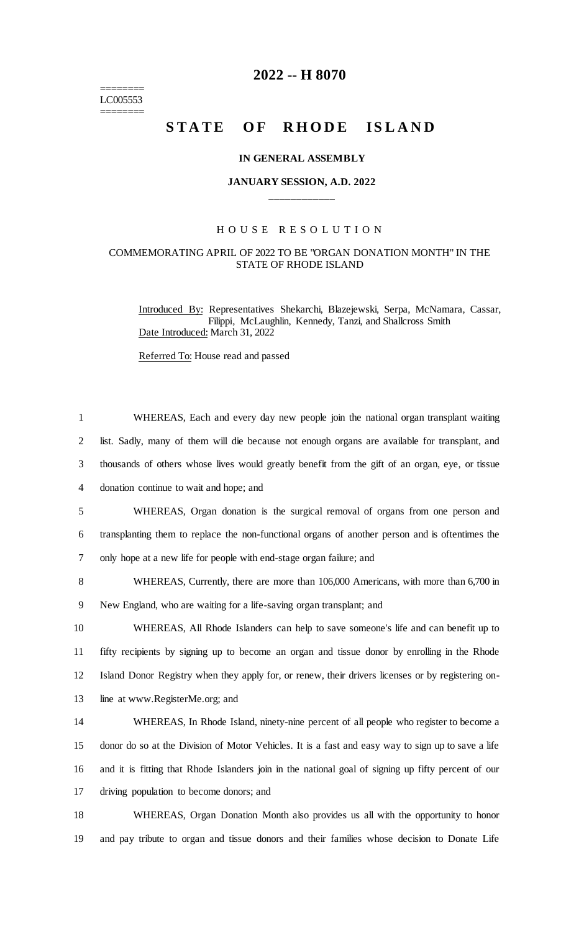$=$ LC005553 ========

## **2022 -- H 8070**

# STATE OF RHODE ISLAND

#### **IN GENERAL ASSEMBLY**

### **JANUARY SESSION, A.D. 2022 \_\_\_\_\_\_\_\_\_\_\_\_**

#### H O U S E R E S O L U T I O N

#### COMMEMORATING APRIL OF 2022 TO BE "ORGAN DONATION MONTH" IN THE STATE OF RHODE ISLAND

Introduced By: Representatives Shekarchi, Blazejewski, Serpa, McNamara, Cassar, Filippi, McLaughlin, Kennedy, Tanzi, and Shallcross Smith Date Introduced: March 31, 2022

Referred To: House read and passed

| $\mathbf{1}$   | WHEREAS, Each and every day new people join the national organ transplant waiting                   |
|----------------|-----------------------------------------------------------------------------------------------------|
| $\overline{2}$ | list. Sadly, many of them will die because not enough organs are available for transplant, and      |
| 3              | thousands of others whose lives would greatly benefit from the gift of an organ, eye, or tissue     |
| $\overline{4}$ | donation continue to wait and hope; and                                                             |
| 5              | WHEREAS, Organ donation is the surgical removal of organs from one person and                       |
| 6              | transplanting them to replace the non-functional organs of another person and is oftentimes the     |
| $\tau$         | only hope at a new life for people with end-stage organ failure; and                                |
| 8              | WHEREAS, Currently, there are more than 106,000 Americans, with more than 6,700 in                  |
| 9              | New England, who are waiting for a life-saving organ transplant; and                                |
| 10             | WHEREAS, All Rhode Islanders can help to save someone's life and can benefit up to                  |
| 11             | fifty recipients by signing up to become an organ and tissue donor by enrolling in the Rhode        |
| 12             | Island Donor Registry when they apply for, or renew, their drivers licenses or by registering on-   |
| 13             | line at www.RegisterMe.org; and                                                                     |
| 14             | WHEREAS, In Rhode Island, ninety-nine percent of all people who register to become a                |
| 15             | donor do so at the Division of Motor Vehicles. It is a fast and easy way to sign up to save a life  |
| 16             | and it is fitting that Rhode Islanders join in the national goal of signing up fifty percent of our |
| 17             | driving population to become donors; and                                                            |
| 18             | WHEREAS, Organ Donation Month also provides us all with the opportunity to honor                    |
| 19             | and pay tribute to organ and tissue donors and their families whose decision to Donate Life         |